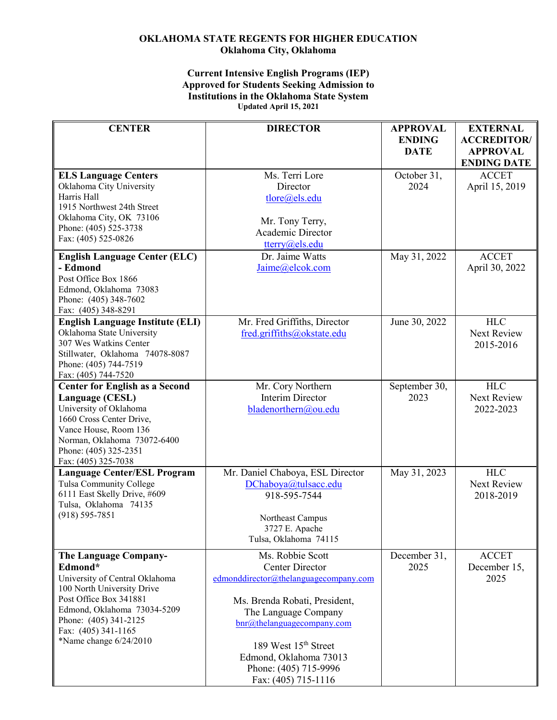## **OKLAHOMA STATE REGENTS FOR HIGHER EDUCATION Oklahoma City, Oklahoma**

## **Current Intensive English Programs (IEP) Approved for Students Seeking Admission to Institutions in the Oklahoma State System Updated April 15, 2021**

| <b>CENTER</b>                                                                                                                                                                                                                              | <b>DIRECTOR</b>                                                                                                                                                                                                                                                                                                | <b>APPROVAL</b><br><b>ENDING</b><br><b>DATE</b> | <b>EXTERNAL</b><br><b>ACCREDITOR/</b><br><b>APPROVAL</b> |
|--------------------------------------------------------------------------------------------------------------------------------------------------------------------------------------------------------------------------------------------|----------------------------------------------------------------------------------------------------------------------------------------------------------------------------------------------------------------------------------------------------------------------------------------------------------------|-------------------------------------------------|----------------------------------------------------------|
| <b>ELS Language Centers</b><br>Oklahoma City University<br>Harris Hall<br>1915 Northwest 24th Street<br>Oklahoma City, OK 73106<br>Phone: (405) 525-3738<br>Fax: (405) 525-0826                                                            | Ms. Terri Lore<br>Director<br>tlore@els.edu<br>Mr. Tony Terry,<br>Academic Director<br>tterry@els.edu                                                                                                                                                                                                          | October 31,<br>2024                             | <b>ENDING DATE</b><br><b>ACCET</b><br>April 15, 2019     |
| <b>English Language Center (ELC)</b><br>- Edmond<br>Post Office Box 1866<br>Edmond, Oklahoma 73083<br>Phone: (405) 348-7602<br>Fax: (405) 348-8291                                                                                         | Dr. Jaime Watts<br>Jaime@elcok.com                                                                                                                                                                                                                                                                             | May 31, 2022                                    | <b>ACCET</b><br>April 30, 2022                           |
| <b>English Language Institute (ELI)</b><br>Oklahoma State University<br>307 Wes Watkins Center<br>Stillwater, Oklahoma 74078-8087<br>Phone: (405) 744-7519<br>Fax: (405) 744-7520                                                          | Mr. Fred Griffiths, Director<br>fred.griffiths@okstate.edu                                                                                                                                                                                                                                                     | June 30, 2022                                   | <b>HLC</b><br><b>Next Review</b><br>2015-2016            |
| <b>Center for English as a Second</b><br>Language (CESL)<br>University of Oklahoma<br>1660 Cross Center Drive,<br>Vance House, Room 136<br>Norman, Oklahoma 73072-6400<br>Phone: (405) 325-2351<br>Fax: (405) 325-7038                     | Mr. Cory Northern<br><b>Interim Director</b><br>bladenorthern@ou.edu                                                                                                                                                                                                                                           | September 30,<br>2023                           | <b>HLC</b><br>Next Review<br>2022-2023                   |
| <b>Language Center/ESL Program</b><br>Tulsa Community College<br>6111 East Skelly Drive, #609<br>Tulsa, Oklahoma 74135<br>$(918) 595 - 7851$                                                                                               | Mr. Daniel Chaboya, ESL Director<br>DChaboya@tulsacc.edu<br>918-595-7544<br>Northeast Campus<br>3727 E. Apache<br>Tulsa, Oklahoma 74115                                                                                                                                                                        | May 31, 2023                                    | <b>HLC</b><br>Next Review<br>2018-2019                   |
| <b>The Language Company-</b><br>Edmond*<br>University of Central Oklahoma<br>100 North University Drive<br>Post Office Box 341881<br>Edmond, Oklahoma 73034-5209<br>Phone: (405) 341-2125<br>Fax: (405) 341-1165<br>*Name change 6/24/2010 | Ms. Robbie Scott<br><b>Center Director</b><br>edmonddirector@thelanguagecompany.com<br>Ms. Brenda Robati, President,<br>The Language Company<br>$\text{bnr}(\widehat{a})$ thelanguagecompany.com<br>189 West 15 <sup>th</sup> Street<br>Edmond, Oklahoma 73013<br>Phone: (405) 715-9996<br>Fax: (405) 715-1116 | December 31,<br>2025                            | <b>ACCET</b><br>December 15,<br>2025                     |